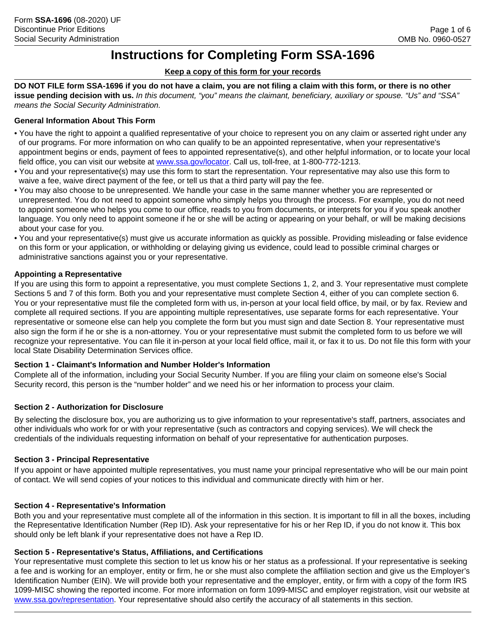# **Instructions for Completing Form SSA-1696**

## **Keep a copy of this form for your records**

**DO NOT FILE form SSA-1696 if you do not have a claim, you are not filing a claim with this form, or there is no other issue pending decision with us.** *In this document, "you" means the claimant, beneficiary, auxiliary or spouse. "Us" and "SSA" means the Social Security Administration.*

# **General Information About This Form**

- You have the right to appoint a qualified representative of your choice to represent you on any claim or asserted right under any of our programs. For more information on who can qualify to be an appointed representative, when your representative's appointment begins or ends, payment of fees to appointed representative(s), and other helpful information, or to locate your local field office, you can visit our website at [www.ssa.gov/locator.](www.ssa.gov/locator) Call us, toll-free, at 1-800-772-1213.
- You and your representative(s) may use this form to start the representation. Your representative may also use this form to waive a fee, waive direct payment of the fee, or tell us that a third party will pay the fee.
- You may also choose to be unrepresented. We handle your case in the same manner whether you are represented or unrepresented. You do not need to appoint someone who simply helps you through the process. For example, you do not need to appoint someone who helps you come to our office, reads to you from documents, or interprets for you if you speak another language. You only need to appoint someone if he or she will be acting or appearing on your behalf, or will be making decisions about your case for you.
- You and your representative(s) must give us accurate information as quickly as possible. Providing misleading or false evidence on this form or your application, or withholding or delaying giving us evidence, could lead to possible criminal charges or administrative sanctions against you or your representative.

## **Appointing a Representative**

If you are using this form to appoint a representative, you must complete Sections 1, 2, and 3. Your representative must complete Sections 5 and 7 of this form. Both you and your representative must complete Section 4, either of you can complete section 6. You or your representative must file the completed form with us, in-person at your local field office, by mail, or by fax. Review and complete all required sections. If you are appointing multiple representatives, use separate forms for each representative. Your representative or someone else can help you complete the form but you must sign and date Section 8. Your representative must also sign the form if he or she is a non-attorney. You or your representative must submit the completed form to us before we will recognize your representative. You can file it in-person at your local field office, mail it, or fax it to us. Do not file this form with your local State Disability Determination Services office.

#### **Section 1 - Claimant's Information and Number Holder's Information**

Complete all of the information, including your Social Security Number. If you are filing your claim on someone else's Social Security record, this person is the "number holder" and we need his or her information to process your claim.

#### **Section 2 - Authorization for Disclosure**

By selecting the disclosure box, you are authorizing us to give information to your representative's staff, partners, associates and other individuals who work for or with your representative (such as contractors and copying services). We will check the credentials of the individuals requesting information on behalf of your representative for authentication purposes.

#### **Section 3 - Principal Representative**

If you appoint or have appointed multiple representatives, you must name your principal representative who will be our main point of contact. We will send copies of your notices to this individual and communicate directly with him or her.

#### **Section 4 - Representative's Information**

Both you and your representative must complete all of the information in this section. It is important to fill in all the boxes, including the Representative Identification Number (Rep ID). Ask your representative for his or her Rep ID, if you do not know it. This box should only be left blank if your representative does not have a Rep ID.

#### **Section 5 - Representative's Status, Affiliations, and Certifications**

Your representative must complete this section to let us know his or her status as a professional. If your representative is seeking a fee and is working for an employer, entity or firm, he or she must also complete the affiliation section and give us the Employer's Identification Number (EIN). We will provide both your representative and the employer, entity, or firm with a copy of the form IRS 1099-MISC showing the reported income. For more information on form 1099-MISC and employer registration, visit our website at [www.ssa.gov/representation.](www.ssa.gov/representation) Your representative should also certify the accuracy of all statements in this section.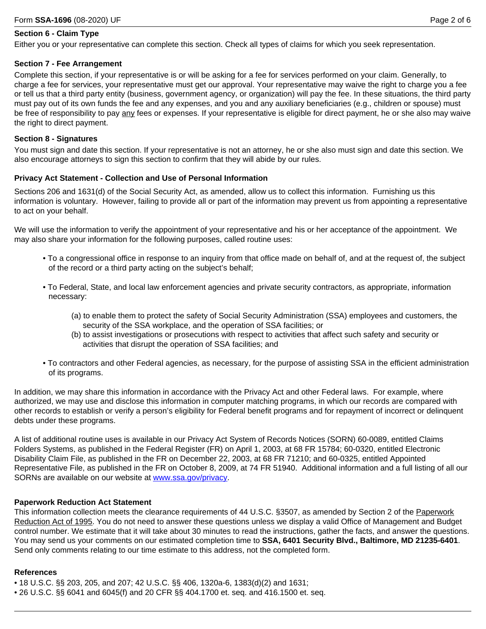#### **Section 6 - Claim Type**

Either you or your representative can complete this section. Check all types of claims for which you seek representation.

#### **Section 7 - Fee Arrangement**

Complete this section, if your representative is or will be asking for a fee for services performed on your claim. Generally, to charge a fee for services, your representative must get our approval. Your representative may waive the right to charge you a fee or tell us that a third party entity (business, government agency, or organization) will pay the fee. In these situations, the third party must pay out of its own funds the fee and any expenses, and you and any auxiliary beneficiaries (e.g., children or spouse) must be free of responsibility to pay any fees or expenses. If your representative is eligible for direct payment, he or she also may waive the right to direct payment.

#### **Section 8 - Signatures**

You must sign and date this section. If your representative is not an attorney, he or she also must sign and date this section. We also encourage attorneys to sign this section to confirm that they will abide by our rules.

#### **Privacy Act Statement - Collection and Use of Personal Information**

Sections 206 and 1631(d) of the Social Security Act, as amended, allow us to collect this information. Furnishing us this information is voluntary. However, failing to provide all or part of the information may prevent us from appointing a representative to act on your behalf.

We will use the information to verify the appointment of your representative and his or her acceptance of the appointment. We may also share your information for the following purposes, called routine uses:

- To a congressional office in response to an inquiry from that office made on behalf of, and at the request of, the subject of the record or a third party acting on the subject's behalf;
- To Federal, State, and local law enforcement agencies and private security contractors, as appropriate, information necessary:
	- (a) to enable them to protect the safety of Social Security Administration (SSA) employees and customers, the security of the SSA workplace, and the operation of SSA facilities; or
	- (b) to assist investigations or prosecutions with respect to activities that affect such safety and security or activities that disrupt the operation of SSA facilities; and
- To contractors and other Federal agencies, as necessary, for the purpose of assisting SSA in the efficient administration of its programs.

In addition, we may share this information in accordance with the Privacy Act and other Federal laws. For example, where authorized, we may use and disclose this information in computer matching programs, in which our records are compared with other records to establish or verify a person's eligibility for Federal benefit programs and for repayment of incorrect or delinquent debts under these programs.

A list of additional routine uses is available in our Privacy Act System of Records Notices (SORN) 60-0089, entitled Claims Folders Systems, as published in the Federal Register (FR) on April 1, 2003, at 68 FR 15784; 60-0320, entitled Electronic Disability Claim File, as published in the FR on December 22, 2003, at 68 FR 71210; and 60-0325, entitled Appointed Representative File, as published in the FR on October 8, 2009, at 74 FR 51940. Additional information and a full listing of all our SORNs are available on our website at www.ssa.gov/privacy.

#### **Paperwork Reduction Act Statement**

This information collection meets the clearance requirements of 44 U.S.C. §3507, as amended by Section 2 of the Paperwork Reduction Act of 1995. You do not need to answer these questions unless we display a valid Office of Management and Budget control number. We estimate that it will take about 30 minutes to read the instructions, gather the facts, and answer the questions. You may send us your comments on our estimated completion time to **SSA, 6401 Security Blvd., Baltimore, MD 21235-6401**. Send only comments relating to our time estimate to this address, not the completed form.

#### **References**

- 18 U.S.C. §§ 203, 205, and 207; 42 U.S.C. §§ 406, 1320a-6, 1383(d)(2) and 1631;
- 26 U.S.C. §§ 6041 and 6045(f) and 20 CFR §§ 404.1700 et. seq. and 416.1500 et. seq.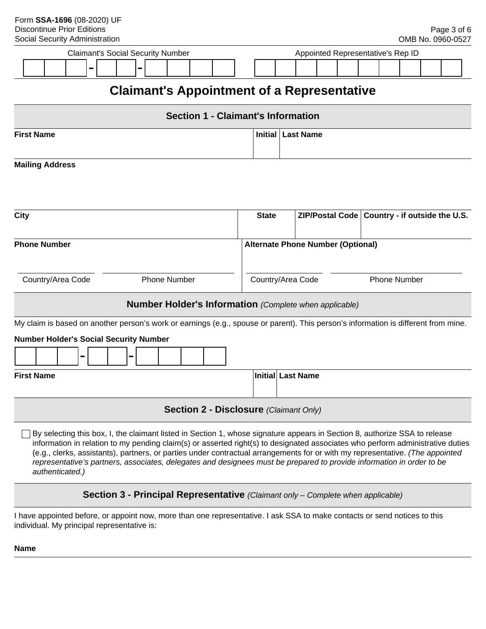| <b>Claimant's Social Security Number</b><br>Appointed Representative's Rep ID<br>$\blacksquare$<br>Ξ.                                                                                                                                                                                                                                                                                                                                                                                                                                     |  |                                          |                   |                                                 |  |  |  |  |
|-------------------------------------------------------------------------------------------------------------------------------------------------------------------------------------------------------------------------------------------------------------------------------------------------------------------------------------------------------------------------------------------------------------------------------------------------------------------------------------------------------------------------------------------|--|------------------------------------------|-------------------|-------------------------------------------------|--|--|--|--|
| <b>Claimant's Appointment of a Representative</b>                                                                                                                                                                                                                                                                                                                                                                                                                                                                                         |  |                                          |                   |                                                 |  |  |  |  |
| <b>Section 1 - Claimant's Information</b>                                                                                                                                                                                                                                                                                                                                                                                                                                                                                                 |  |                                          |                   |                                                 |  |  |  |  |
| <b>First Name</b><br><b>Last Name</b><br>Initial                                                                                                                                                                                                                                                                                                                                                                                                                                                                                          |  |                                          |                   |                                                 |  |  |  |  |
| <b>Mailing Address</b>                                                                                                                                                                                                                                                                                                                                                                                                                                                                                                                    |  |                                          |                   |                                                 |  |  |  |  |
|                                                                                                                                                                                                                                                                                                                                                                                                                                                                                                                                           |  |                                          |                   |                                                 |  |  |  |  |
| City                                                                                                                                                                                                                                                                                                                                                                                                                                                                                                                                      |  | <b>State</b>                             |                   | ZIP/Postal Code   Country - if outside the U.S. |  |  |  |  |
| <b>Phone Number</b>                                                                                                                                                                                                                                                                                                                                                                                                                                                                                                                       |  | <b>Alternate Phone Number (Optional)</b> |                   |                                                 |  |  |  |  |
| <b>Phone Number</b><br>Country/Area Code                                                                                                                                                                                                                                                                                                                                                                                                                                                                                                  |  | Country/Area Code<br><b>Phone Number</b> |                   |                                                 |  |  |  |  |
| <b>Number Holder's Information</b> (Complete when applicable)                                                                                                                                                                                                                                                                                                                                                                                                                                                                             |  |                                          |                   |                                                 |  |  |  |  |
| My claim is based on another person's work or earnings (e.g., spouse or parent). This person's information is different from mine.                                                                                                                                                                                                                                                                                                                                                                                                        |  |                                          |                   |                                                 |  |  |  |  |
| <b>Number Holder's Social Security Number</b>                                                                                                                                                                                                                                                                                                                                                                                                                                                                                             |  |                                          |                   |                                                 |  |  |  |  |
| -<br>$\equiv$                                                                                                                                                                                                                                                                                                                                                                                                                                                                                                                             |  |                                          |                   |                                                 |  |  |  |  |
| <b>First Name</b>                                                                                                                                                                                                                                                                                                                                                                                                                                                                                                                         |  |                                          | Initial Last Name |                                                 |  |  |  |  |
| <b>Section 2 - Disclosure (Claimant Only)</b>                                                                                                                                                                                                                                                                                                                                                                                                                                                                                             |  |                                          |                   |                                                 |  |  |  |  |
| By selecting this box, I, the claimant listed in Section 1, whose signature appears in Section 8, authorize SSA to release<br>information in relation to my pending claim(s) or asserted right(s) to designated associates who perform administrative duties<br>(e.g., clerks, assistants), partners, or parties under contractual arrangements for or with my representative. (The appointed<br>representative's partners, associates, delegates and designees must be prepared to provide information in order to be<br>authenticated.) |  |                                          |                   |                                                 |  |  |  |  |
| Section 3 - Principal Representative (Claimant only - Complete when applicable)                                                                                                                                                                                                                                                                                                                                                                                                                                                           |  |                                          |                   |                                                 |  |  |  |  |

I have appointed before, or appoint now, more than one representative. I ask SSA to make contacts or send notices to this individual. My principal representative is:

**Name**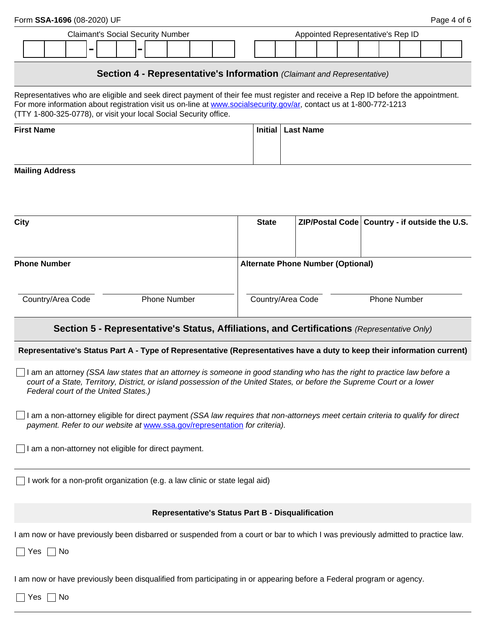|                                                                                                                                                                                                                |                                                                                                                                    | Form SSA-1696 (08-2020) UF                                                                                                                                                                                                                                                                                                   |                |  |  |   |  |                     |  |                                                   |                                          |              |  |                                          |  |                                               |  |  | Page 4 of 6 |  |
|----------------------------------------------------------------------------------------------------------------------------------------------------------------------------------------------------------------|------------------------------------------------------------------------------------------------------------------------------------|------------------------------------------------------------------------------------------------------------------------------------------------------------------------------------------------------------------------------------------------------------------------------------------------------------------------------|----------------|--|--|---|--|---------------------|--|---------------------------------------------------|------------------------------------------|--------------|--|------------------------------------------|--|-----------------------------------------------|--|--|-------------|--|
| <b>Claimant's Social Security Number</b>                                                                                                                                                                       |                                                                                                                                    |                                                                                                                                                                                                                                                                                                                              |                |  |  |   |  |                     |  |                                                   | Appointed Representative's Rep ID        |              |  |                                          |  |                                               |  |  |             |  |
|                                                                                                                                                                                                                |                                                                                                                                    |                                                                                                                                                                                                                                                                                                                              | $\blacksquare$ |  |  | - |  |                     |  |                                                   |                                          |              |  |                                          |  |                                               |  |  |             |  |
|                                                                                                                                                                                                                | Section 4 - Representative's Information (Claimant and Representative)                                                             |                                                                                                                                                                                                                                                                                                                              |                |  |  |   |  |                     |  |                                                   |                                          |              |  |                                          |  |                                               |  |  |             |  |
|                                                                                                                                                                                                                |                                                                                                                                    | Representatives who are eligible and seek direct payment of their fee must register and receive a Rep ID before the appointment.<br>For more information about registration visit us on-line at www.socialsecurity.gov/ar, contact us at 1-800-772-1213<br>(TTY 1-800-325-0778), or visit your local Social Security office. |                |  |  |   |  |                     |  |                                                   |                                          |              |  |                                          |  |                                               |  |  |             |  |
|                                                                                                                                                                                                                | <b>First Name</b><br><b>Initial</b><br><b>Last Name</b>                                                                            |                                                                                                                                                                                                                                                                                                                              |                |  |  |   |  |                     |  |                                                   |                                          |              |  |                                          |  |                                               |  |  |             |  |
|                                                                                                                                                                                                                | <b>Mailing Address</b>                                                                                                             |                                                                                                                                                                                                                                                                                                                              |                |  |  |   |  |                     |  |                                                   |                                          |              |  |                                          |  |                                               |  |  |             |  |
| <b>City</b>                                                                                                                                                                                                    |                                                                                                                                    |                                                                                                                                                                                                                                                                                                                              |                |  |  |   |  |                     |  |                                                   |                                          | <b>State</b> |  |                                          |  | ZIP/Postal Code Country - if outside the U.S. |  |  |             |  |
|                                                                                                                                                                                                                | <b>Phone Number</b>                                                                                                                |                                                                                                                                                                                                                                                                                                                              |                |  |  |   |  |                     |  |                                                   |                                          |              |  | <b>Alternate Phone Number (Optional)</b> |  |                                               |  |  |             |  |
|                                                                                                                                                                                                                |                                                                                                                                    | Country/Area Code                                                                                                                                                                                                                                                                                                            |                |  |  |   |  | <b>Phone Number</b> |  |                                                   | Country/Area Code<br><b>Phone Number</b> |              |  |                                          |  |                                               |  |  |             |  |
|                                                                                                                                                                                                                |                                                                                                                                    | Section 5 - Representative's Status, Affiliations, and Certifications (Representative Only)                                                                                                                                                                                                                                  |                |  |  |   |  |                     |  |                                                   |                                          |              |  |                                          |  |                                               |  |  |             |  |
|                                                                                                                                                                                                                |                                                                                                                                    | Representative's Status Part A - Type of Representative (Representatives have a duty to keep their information current)                                                                                                                                                                                                      |                |  |  |   |  |                     |  |                                                   |                                          |              |  |                                          |  |                                               |  |  |             |  |
|                                                                                                                                                                                                                |                                                                                                                                    | I am an attorney (SSA law states that an attorney is someone in good standing who has the right to practice law before a<br>court of a State, Territory, District, or island possession of the United States, or before the Supreme Court or a lower<br>Federal court of the United States.)                                 |                |  |  |   |  |                     |  |                                                   |                                          |              |  |                                          |  |                                               |  |  |             |  |
| I am a non-attorney eligible for direct payment (SSA law requires that non-attorneys meet certain criteria to qualify for direct<br>payment. Refer to our website at www.ssa.gov/representation for criteria). |                                                                                                                                    |                                                                                                                                                                                                                                                                                                                              |                |  |  |   |  |                     |  |                                                   |                                          |              |  |                                          |  |                                               |  |  |             |  |
| I am a non-attorney not eligible for direct payment.                                                                                                                                                           |                                                                                                                                    |                                                                                                                                                                                                                                                                                                                              |                |  |  |   |  |                     |  |                                                   |                                          |              |  |                                          |  |                                               |  |  |             |  |
| I work for a non-profit organization (e.g. a law clinic or state legal aid)                                                                                                                                    |                                                                                                                                    |                                                                                                                                                                                                                                                                                                                              |                |  |  |   |  |                     |  |                                                   |                                          |              |  |                                          |  |                                               |  |  |             |  |
|                                                                                                                                                                                                                |                                                                                                                                    |                                                                                                                                                                                                                                                                                                                              |                |  |  |   |  |                     |  | Representative's Status Part B - Disqualification |                                          |              |  |                                          |  |                                               |  |  |             |  |
|                                                                                                                                                                                                                | $Yes \mid$<br>$\mathcal{L}$                                                                                                        | I am now or have previously been disbarred or suspended from a court or bar to which I was previously admitted to practice law.<br>No                                                                                                                                                                                        |                |  |  |   |  |                     |  |                                                   |                                          |              |  |                                          |  |                                               |  |  |             |  |
|                                                                                                                                                                                                                | I am now or have previously been disqualified from participating in or appearing before a Federal program or agency.<br>No.<br>Yes |                                                                                                                                                                                                                                                                                                                              |                |  |  |   |  |                     |  |                                                   |                                          |              |  |                                          |  |                                               |  |  |             |  |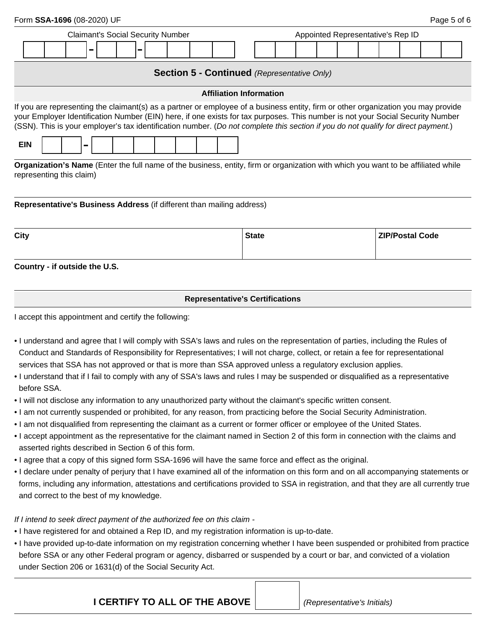| Form SSA-1696 (08-2020) UF                                                                                                                                                                                                                                                                                                                                                                                              |                                                    | Page 5 of 6                       |  |  |  |  |  |  |
|-------------------------------------------------------------------------------------------------------------------------------------------------------------------------------------------------------------------------------------------------------------------------------------------------------------------------------------------------------------------------------------------------------------------------|----------------------------------------------------|-----------------------------------|--|--|--|--|--|--|
| <b>Claimant's Social Security Number</b>                                                                                                                                                                                                                                                                                                                                                                                |                                                    | Appointed Representative's Rep ID |  |  |  |  |  |  |
| -                                                                                                                                                                                                                                                                                                                                                                                                                       |                                                    |                                   |  |  |  |  |  |  |
|                                                                                                                                                                                                                                                                                                                                                                                                                         | <b>Section 5 - Continued (Representative Only)</b> |                                   |  |  |  |  |  |  |
|                                                                                                                                                                                                                                                                                                                                                                                                                         | <b>Affiliation Information</b>                     |                                   |  |  |  |  |  |  |
| If you are representing the claimant(s) as a partner or employee of a business entity, firm or other organization you may provide<br>your Employer Identification Number (EIN) here, if one exists for tax purposes. This number is not your Social Security Number<br>(SSN). This is your employer's tax identification number. (Do not complete this section if you do not qualify for direct payment.)<br><b>EIN</b> |                                                    |                                   |  |  |  |  |  |  |
| Organization's Name (Enter the full name of the business, entity, firm or organization with which you want to be affiliated while<br>representing this claim)                                                                                                                                                                                                                                                           |                                                    |                                   |  |  |  |  |  |  |
| Representative's Business Address (if different than mailing address)                                                                                                                                                                                                                                                                                                                                                   |                                                    |                                   |  |  |  |  |  |  |
| <b>City</b>                                                                                                                                                                                                                                                                                                                                                                                                             | <b>State</b>                                       | <b>ZIP/Postal Code</b>            |  |  |  |  |  |  |
| Country - if outside the U.S.                                                                                                                                                                                                                                                                                                                                                                                           |                                                    |                                   |  |  |  |  |  |  |
| <b>Representative's Certifications</b>                                                                                                                                                                                                                                                                                                                                                                                  |                                                    |                                   |  |  |  |  |  |  |
| I accept this appointment and certify the following:                                                                                                                                                                                                                                                                                                                                                                    |                                                    |                                   |  |  |  |  |  |  |
| • I understand and agree that I will comply with SSA's laws and rules on the representation of parties, including the Rules of                                                                                                                                                                                                                                                                                          |                                                    |                                   |  |  |  |  |  |  |

- Conduct and Standards of Responsibility for Representatives; I will not charge, collect, or retain a fee for representational services that SSA has not approved or that is more than SSA approved unless a regulatory exclusion applies.
- I understand that if I fail to comply with any of SSA's laws and rules I may be suspended or disqualified as a representative before SSA.
- I will not disclose any information to any unauthorized party without the claimant's specific written consent.
- I am not currently suspended or prohibited, for any reason, from practicing before the Social Security Administration.
- I am not disqualified from representing the claimant as a current or former officer or employee of the United States.
- I accept appointment as the representative for the claimant named in Section 2 of this form in connection with the claims and asserted rights described in Section 6 of this form.
- I agree that a copy of this signed form SSA-1696 will have the same force and effect as the original.
- I declare under penalty of perjury that I have examined all of the information on this form and on all accompanying statements or forms, including any information, attestations and certifications provided to SSA in registration, and that they are all currently true and correct to the best of my knowledge.

# *If I intend to seek direct payment of the authorized fee on this claim -*

- I have registered for and obtained a Rep ID, and my registration information is up-to-date.
- I have provided up-to-date information on my registration concerning whether I have been suspended or prohibited from practice before SSA or any other Federal program or agency, disbarred or suspended by a court or bar, and convicted of a violation under Section 206 or 1631(d) of the Social Security Act.

**I CERTIFY TO ALL OF THE ABOVE** *(Representative's Initials)*